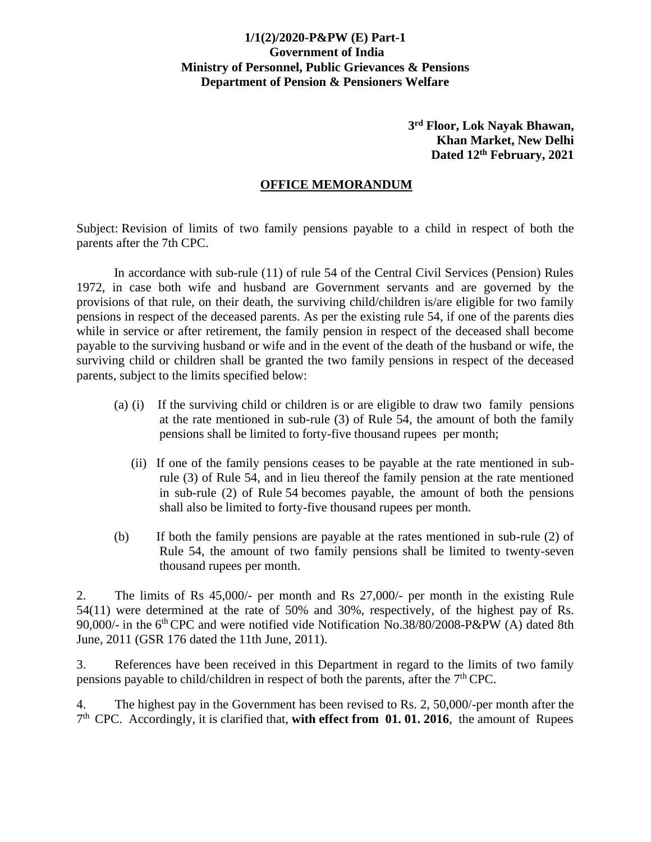## **1/1(2)/2020-P&PW (E) Part-1 Government of India Ministry of Personnel, Public Grievances & Pensions Department of Pension & Pensioners Welfare**

**3 rd Floor, Lok Nayak Bhawan, Khan Market, New Delhi Dated 12 th February, 2021**

## **OFFICE MEMORANDUM**

Subject: Revision of limits of two family pensions payable to a child in respect of both the parents after the 7th CPC.

In accordance with sub-rule (11) of rule 54 of the Central Civil Services (Pension) Rules 1972, in case both wife and husband are Government servants and are governed by the provisions of that rule, on their death, the surviving child/children is/are eligible for two family pensions in respect of the deceased parents. As per the existing rule 54, if one of the parents dies while in service or after retirement, the family pension in respect of the deceased shall become payable to the surviving husband or wife and in the event of the death of the husband or wife, the surviving child or children shall be granted the two family pensions in respect of the deceased parents, subject to the limits specified below:

- (a) (i) If the surviving child or children is or are eligible to draw two family pensions at the rate mentioned in sub-rule (3) of Rule 54, the amount of both the family pensions shall be limited to forty-five thousand rupees per month;
	- (ii) If one of the family pensions ceases to be payable at the rate mentioned in subrule (3) of Rule 54, and in lieu thereof the family pension at the rate mentioned in sub-rule (2) of Rule 54 becomes payable, the amount of both the pensions shall also be limited to forty-five thousand rupees per month.
- (b) If both the family pensions are payable at the rates mentioned in sub-rule (2) of Rule 54, the amount of two family pensions shall be limited to twenty-seven thousand rupees per month.

2. The limits of Rs 45,000/- per month and Rs 27,000/- per month in the existing Rule 54(11) were determined at the rate of 50% and 30%, respectively, of the highest pay of Rs. 90,000/- in the 6<sup>th</sup>CPC and were notified vide Notification No.38/80/2008-P&PW (A) dated 8th June, 2011 (GSR 176 dated the 11th June, 2011).

3. References have been received in this Department in regard to the limits of two family pensions payable to child/children in respect of both the parents, after the  $7<sup>th</sup>$  CPC.

4. The highest pay in the Government has been revised to Rs. 2, 50,000/-per month after the 7 th CPC. Accordingly, it is clarified that, **with effect from 01. 01. 2016**, the amount of Rupees